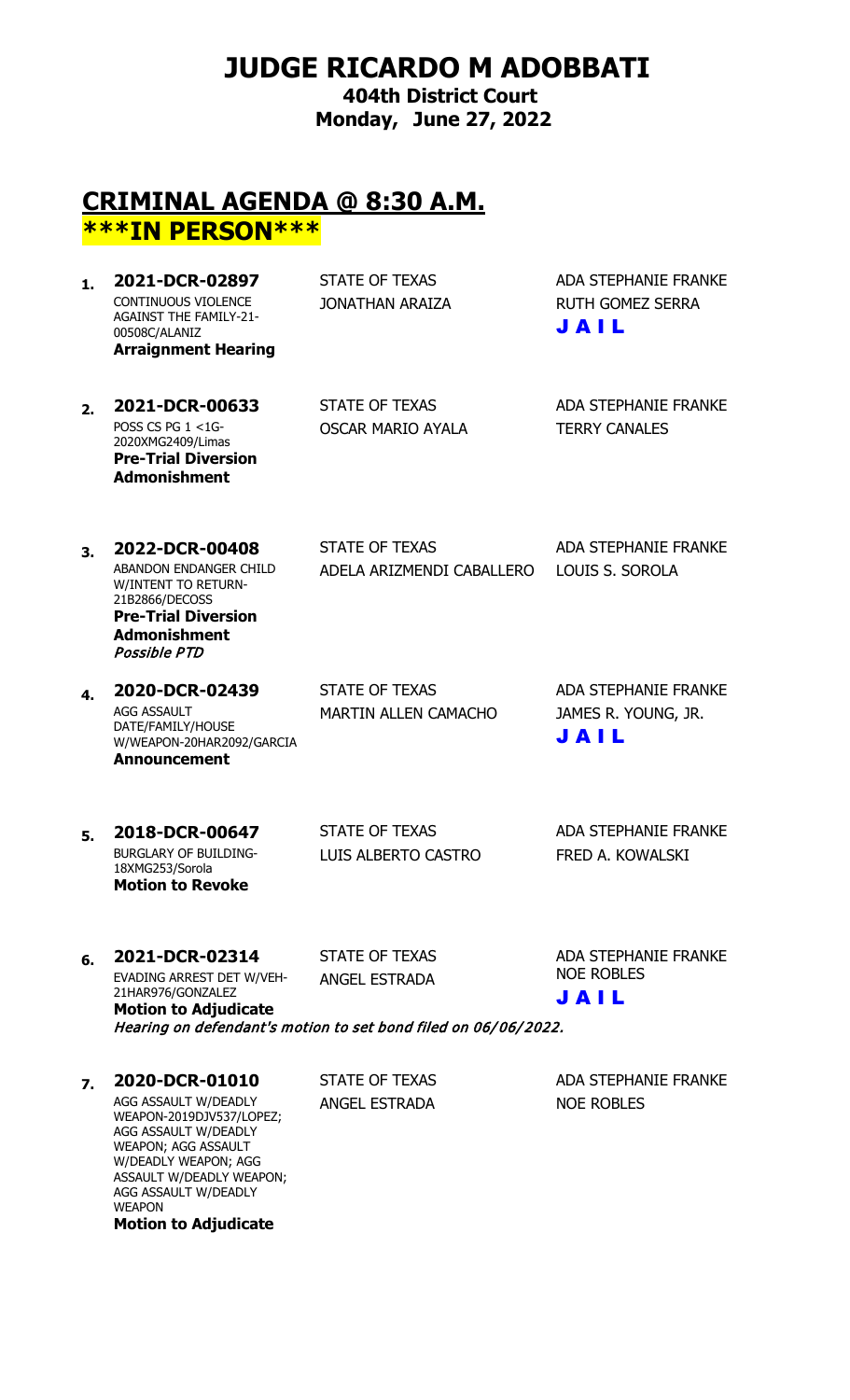# **JUDGE RICARDO M ADOBBATI**

**404th District Court Monday, June 27, 2022**

### **CRIMINAL AGENDA @ 8:30 A.M. \*\*\*IN PERSON\*\*\***

| 2021-DCR-02897                                                                                      | STATE OF TEXAS  | ADA STEPHANIE FRANKE            |
|-----------------------------------------------------------------------------------------------------|-----------------|---------------------------------|
| CONTINUOUS VIOLENCE<br><b>AGAINST THE FAMILY-21-</b><br>00508C/ALANIZ<br><b>Arraignment Hearing</b> | JONATHAN ARAIZA | <b>RUTH GOMEZ SERRA</b><br>JAIL |
|                                                                                                     |                 |                                 |

**2. <b>2021-DCR-00633** STATE OF TEXAS ADA STEPHANIE FRANKE POSS CS PG  $1 < 1$ G-2020XMG2409/Limas **Pre-Trial Diversion Admonishment**

OSCAR MARIO AYALA TERRY CANALES

**3. 2022-DCR-00408** STATE OF TEXAS ADA STEPHANIE FRANKE ABANDON ENDANGER CHILD W/INTENT TO RETURN-21B2866/DECOSS **Pre-Trial Diversion Admonishment** Possible PTD

AGG ASSAULT DATE/FAMILY/HOUSE W/WEAPON-20HAR2092/GARCIA **Announcement**

ADELA ARIZMENDI CABALLERO LOUIS S. SOROLA

**4. 2020-DCR-02439** STATE OF TEXAS ADA STEPHANIE FRANKE MARTIN ALLEN CAMACHO JAMES R. YOUNG, JR. J A I L

#### **5. 2018-DCR-00647** STATE OF TEXAS ADA STEPHANIE FRANKE BURGLARY OF BUILDING-18XMG253/Sorola LUIS ALBERTO CASTRO FRED A. KOWALSKI **Motion to Revoke**

#### **6. 2021-DCR-02314** STATE OF TEXAS ADA STEPHANIE FRANKE EVADING ARREST DET W/VEH-21HAR976/GONZALEZ **Motion to Adjudicate**

ANGEL ESTRADA

NOE ROBLES J A I L

Hearing on defendant's motion to set bond filed on 06/06/2022.

### **7. 2020-DCR-01010** STATE OF TEXAS ADA STEPHANIE FRANKE

AGG ASSAULT W/DEADLY WEAPON-2019DJV537/LOPEZ; AGG ASSAULT W/DEADLY WEAPON; AGG ASSAULT W/DEADLY WEAPON; AGG ASSAULT W/DEADLY WEAPON; AGG ASSAULT W/DEADLY **WEAPON Motion to Adjudicate**

ANGEL ESTRADA NOE ROBLES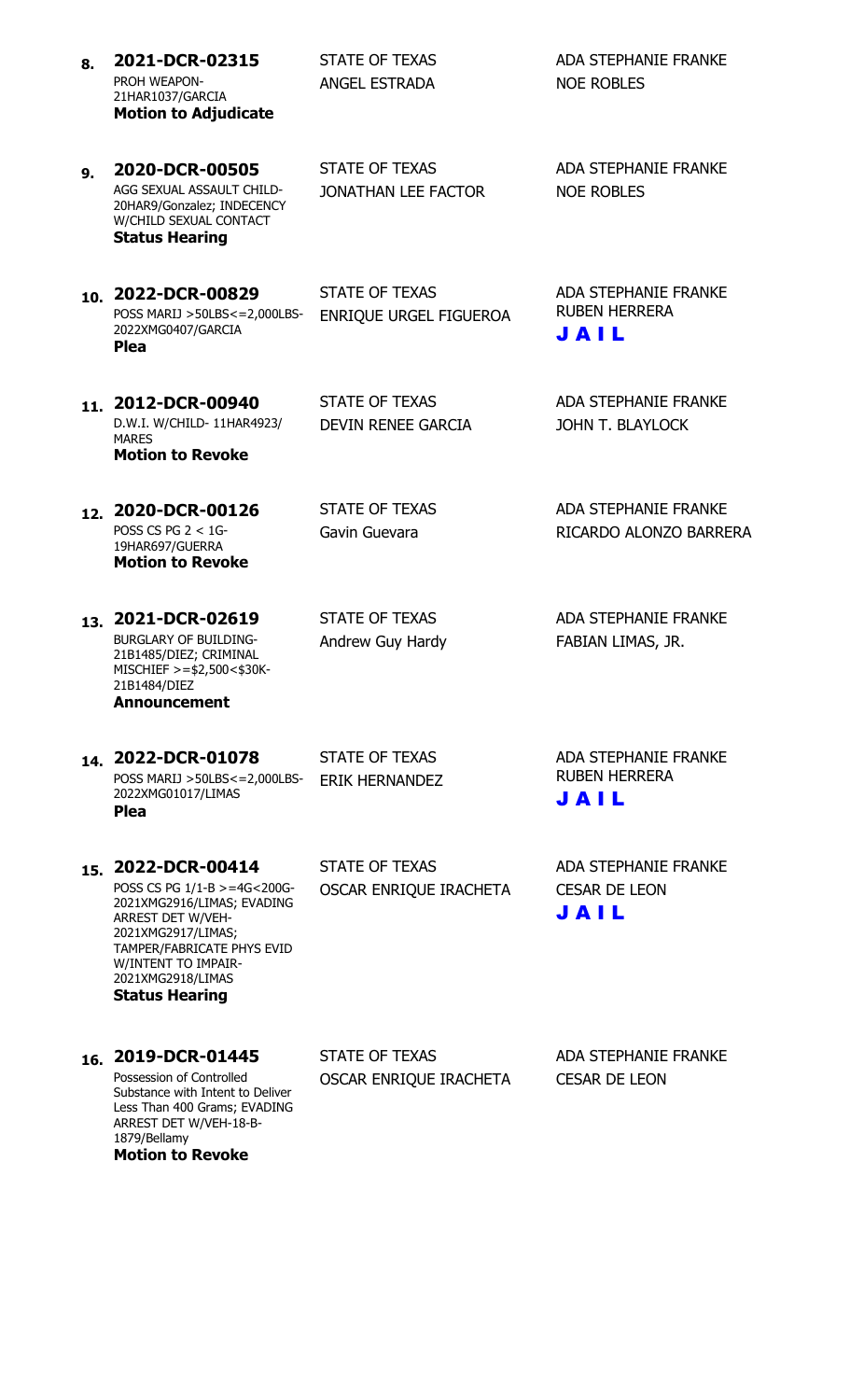- 8. **2021-DCR-02315** STATE OF TEXAS ADA STEPHANIE FRANKE PROH WEAPON-21HAR1037/GARCIA ANGEL ESTRADA NOE ROBLES **Motion to Adjudicate**
- **9. 2020-DCR-00505** STATE OF TEXAS ADA STEPHANIE FRANKE AGG SEXUAL ASSAULT CHILD-20HAR9/Gonzalez; INDECENCY W/CHILD SEXUAL CONTACT JONATHAN LEE FACTOR NOE ROBLES **Status Hearing**

10. **2022-DCR-00829** STATE OF TEXAS ADA STEPHANIE FRANKE POSS MARIJ >50LBS<=2,000LBS-2022XMG0407/GARCIA **Plea**

ENRIQUE URGEL FIGUEROA

RUBEN HERRERA

J A I L

DEVIN RENEE GARCIA JOHN T. BLAYLOCK

11. **2012-DCR-00940** STATE OF TEXAS ADA STEPHANIE FRANKE D.W.I. W/CHILD- 11HAR4923/ MARES **Motion to Revoke**

12. **2020-DCR-00126** STATE OF TEXAS ADA STEPHANIE FRANKE POSS CS PG 2 < 1G-19HAR697/GUERRA **Motion to Revoke**

Gavin Guevara **RICARDO ALONZO BARRERA** 

13. **2021-DCR-02619** STATE OF TEXAS ADA STEPHANIE FRANKE BURGLARY OF BUILDING-21B1485/DIEZ; CRIMINAL MISCHIEF >=\$2,500<\$30K-21B1484/DIEZ **Announcement**

Andrew Guy Hardy FABIAN LIMAS, JR.

**14. 2022-DCR-01078** STATE OF TEXAS ADA STEPHANIE FRANKE POSS MARIJ >50LBS<=2,000LBS-2022XMG01017/LIMAS **Plea**

TAMPER/FABRICATE PHYS EVID

W/INTENT TO IMPAIR-2021XMG2918/LIMAS

**Status Hearing**

ERIK HERNANDEZ

RUBEN HERRERA J A I L

**15. 2022-DCR-00414** STATE OF TEXAS ADA STEPHANIE FRANKE POSS CS PG 1/1-B >=4G<200G-2021XMG2916/LIMAS; EVADING ARREST DET W/VEH-2021XMG2917/LIMAS;

OSCAR ENRIQUE IRACHETA CESAR DE LEON J A I L

16. **2019-DCR-01445** STATE OF TEXAS ADA STEPHANIE FRANKE Possession of Controlled Substance with Intent to Deliver Less Than 400 Grams; EVADING ARREST DET W/VEH-18-B-1879/Bellamy **Motion to Revoke**

OSCAR ENRIQUE IRACHETA CESAR DE LEON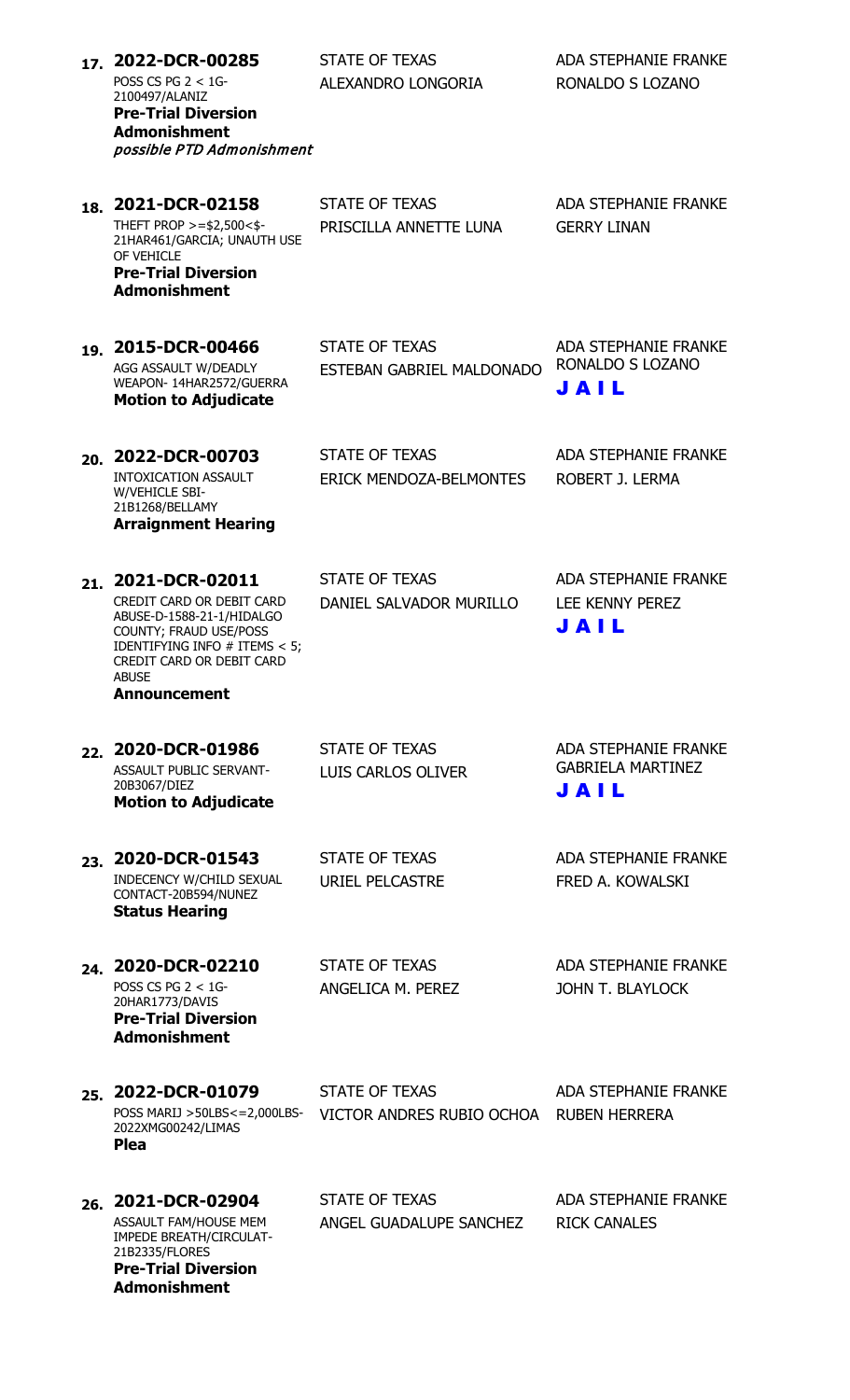| 17. | 2022-DCR-00285<br>POSS CS PG $2 < 1$ G-<br>2100497/ALANIZ<br><b>Pre-Trial Diversion</b><br><b>Admonishment</b><br>possible PTD Admonishment                                                             | <b>STATE OF TEXAS</b><br>ALEXANDRO LONGORIA             | <b>ADA STEPHANIE FRANKE</b><br>RONALDO S LOZANO                 |
|-----|---------------------------------------------------------------------------------------------------------------------------------------------------------------------------------------------------------|---------------------------------------------------------|-----------------------------------------------------------------|
| 18. | 2021-DCR-02158<br>THEFT PROP $>=$ \$2,500 < \$-<br>21HAR461/GARCIA; UNAUTH USE<br>OF VEHICLE<br><b>Pre-Trial Diversion</b><br><b>Admonishment</b>                                                       | <b>STATE OF TEXAS</b><br>PRISCILLA ANNETTE LUNA         | <b>ADA STEPHANIE FRANKE</b><br><b>GERRY LINAN</b>               |
| 19. | 2015-DCR-00466<br>AGG ASSAULT W/DEADLY<br>WEAPON-14HAR2572/GUERRA<br><b>Motion to Adjudicate</b>                                                                                                        | <b>STATE OF TEXAS</b><br>ESTEBAN GABRIEL MALDONADO      | <b>ADA STEPHANIE FRANKE</b><br>RONALDO S LOZANO<br>JAIL         |
| 20. | 2022-DCR-00703<br><b>INTOXICATION ASSAULT</b><br>W/VEHICLE SBI-<br>21B1268/BELLAMY<br><b>Arraignment Hearing</b>                                                                                        | <b>STATE OF TEXAS</b><br><b>ERICK MENDOZA-BELMONTES</b> | <b>ADA STEPHANIE FRANKE</b><br>ROBERT J. LERMA                  |
| 21. | 2021-DCR-02011<br>CREDIT CARD OR DEBIT CARD<br>ABUSE-D-1588-21-1/HIDALGO<br>COUNTY; FRAUD USE/POSS<br>IDENTIFYING INFO # ITEMS < 5;<br>CREDIT CARD OR DEBIT CARD<br><b>ABUSE</b><br><b>Announcement</b> | <b>STATE OF TEXAS</b><br>DANIEL SALVADOR MURILLO        | <b>ADA STEPHANIE FRANKE</b><br>LEE KENNY PEREZ<br>JAIL          |
| 22. | 2020-DCR-01986<br><b>ASSAULT PUBLIC SERVANT-</b><br>20B3067/DIEZ<br><b>Motion to Adjudicate</b>                                                                                                         | <b>STATE OF TEXAS</b><br>LUIS CARLOS OLIVER             | <b>ADA STEPHANIE FRANKE</b><br><b>GABRIELA MARTINEZ</b><br>JAIL |
| 23. | 2020-DCR-01543<br>INDECENCY W/CHILD SEXUAL<br>CONTACT-20B594/NUNEZ<br><b>Status Hearing</b>                                                                                                             | <b>STATE OF TEXAS</b><br><b>URIEL PELCASTRE</b>         | <b>ADA STEPHANIE FRANKE</b><br>FRED A. KOWALSKI                 |
| 24. | 2020-DCR-02210<br>POSS CS PG $2 < 1$ G-<br>20HAR1773/DAVIS<br><b>Pre-Trial Diversion</b><br><b>Admonishment</b>                                                                                         | <b>STATE OF TEXAS</b><br>ANGELICA M. PEREZ              | <b>ADA STEPHANIE FRANKE</b><br><b>JOHN T. BLAYLOCK</b>          |
| 25. | 2022-DCR-01079<br>POSS MARIJ >50LBS<=2,000LBS-<br>2022XMG00242/LIMAS<br><b>Plea</b>                                                                                                                     | <b>STATE OF TEXAS</b><br>VICTOR ANDRES RUBIO OCHOA      | <b>ADA STEPHANIE FRANKE</b><br><b>RUBEN HERRERA</b>             |
| 26. | 2021-DCR-02904<br>ASSAULT FAM/HOUSE MEM<br>IMPEDE BREATH/CIRCULAT-<br>21B2335/FLORES<br><b>Pre-Trial Diversion</b>                                                                                      | <b>STATE OF TEXAS</b><br>ANGEL GUADALUPE SANCHEZ        | <b>ADA STEPHANIE FRANKE</b><br><b>RICK CANALES</b>              |

**Admonishment**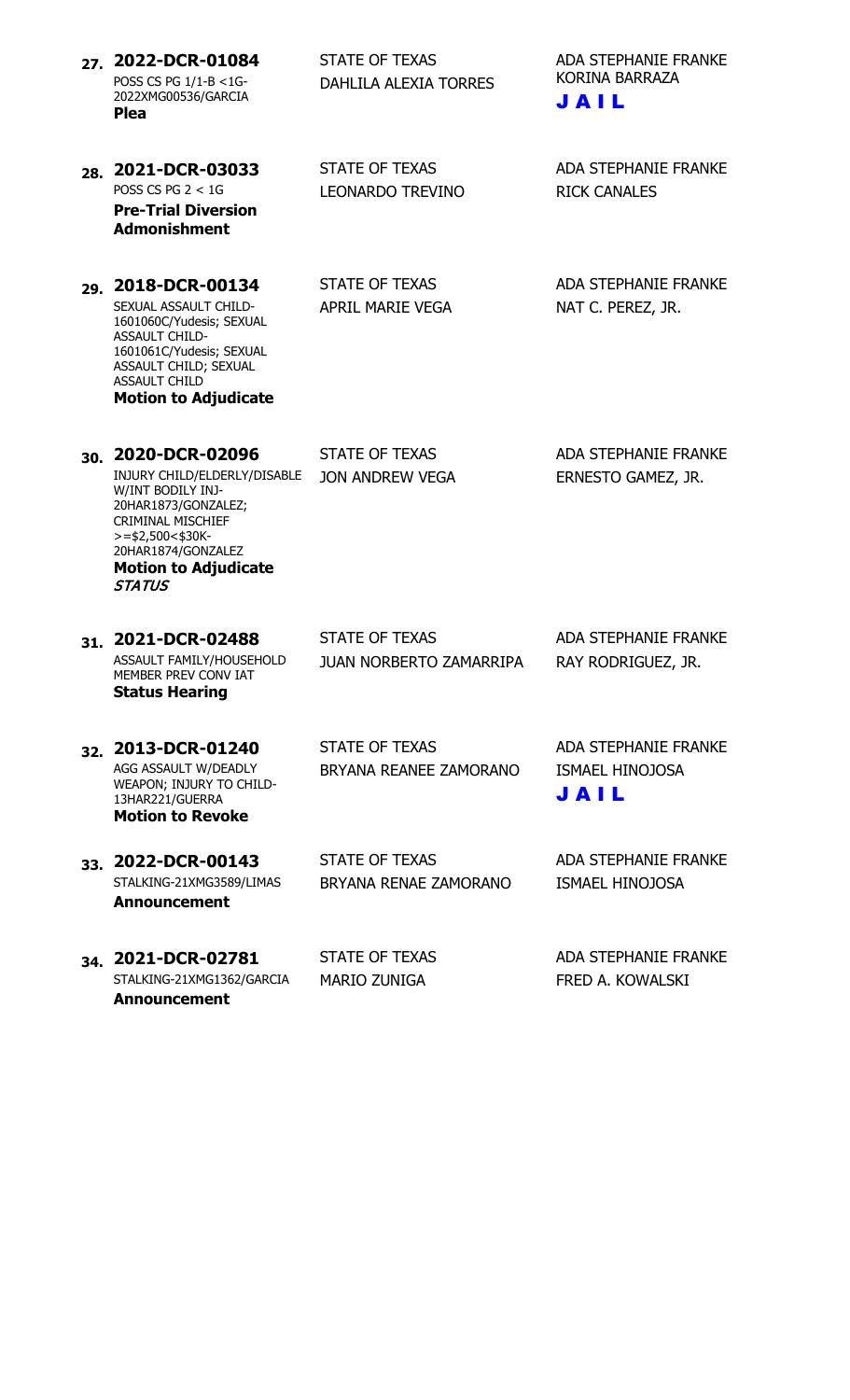| 27. | 2022-DCR-01084<br>POSS CS PG 1/1-B <1G-<br>2022XMG00536/GARCIA<br><b>Plea</b>                                                                                                                                | <b>STATE OF TEXAS</b><br><b>DAHLILA ALEXIA TORRES</b>   | <b>ADA STEPHANIE FRANKE</b><br>KORINA BARRAZA<br>JAIL         |
|-----|--------------------------------------------------------------------------------------------------------------------------------------------------------------------------------------------------------------|---------------------------------------------------------|---------------------------------------------------------------|
| 28. | 2021-DCR-03033<br>POSS CS PG $2 < 1$ G<br><b>Pre-Trial Diversion</b><br><b>Admonishment</b>                                                                                                                  | <b>STATE OF TEXAS</b><br><b>LEONARDO TREVINO</b>        | <b>ADA STEPHANIE FRANKE</b><br><b>RICK CANALES</b>            |
| 29. | 2018-DCR-00134<br>SEXUAL ASSAULT CHILD-<br>1601060C/Yudesis; SEXUAL<br><b>ASSAULT CHILD-</b><br>1601061C/Yudesis; SEXUAL<br>ASSAULT CHILD; SEXUAL<br><b>ASSAULT CHILD</b><br><b>Motion to Adjudicate</b>     | <b>STATE OF TEXAS</b><br>APRIL MARIE VEGA               | <b>ADA STEPHANIE FRANKE</b><br>NAT C. PEREZ, JR.              |
| 30. | 2020-DCR-02096<br>INJURY CHILD/ELDERLY/DISABLE<br>W/INT BODILY INJ-<br>20HAR1873/GONZALEZ;<br>CRIMINAL MISCHIEF<br>$>=$ \$2,500<\$30K-<br>20HAR1874/GONZALEZ<br><b>Motion to Adjudicate</b><br><b>STATUS</b> | <b>STATE OF TEXAS</b><br>JON ANDREW VEGA                | <b>ADA STEPHANIE FRANKE</b><br>ERNESTO GAMEZ, JR.             |
| 31. | 2021-DCR-02488<br>ASSAULT FAMILY/HOUSEHOLD<br>MEMBER PREV CONVIAT<br><b>Status Hearing</b>                                                                                                                   | <b>STATE OF TEXAS</b><br><b>JUAN NORBERTO ZAMARRIPA</b> | <b>ADA STEPHANIE FRANKE</b><br>RAY RODRIGUEZ, JR.             |
| 32. | 2013-DCR-01240<br>AGG ASSAULT W/DEADLY<br>WEAPON; INJURY TO CHILD-<br>13HAR221/GUERRA<br><b>Motion to Revoke</b>                                                                                             | <b>STATE OF TEXAS</b><br>BRYANA REANEE ZAMORANO         | ADA STEPHANIE FRANKE<br><b>ISMAEL HINOJOSA</b><br><b>JAIL</b> |
|     | 33. 2022-DCR-00143<br>STALKING-21XMG3589/LIMAS<br><b>Announcement</b>                                                                                                                                        | <b>STATE OF TEXAS</b><br>BRYANA RENAE ZAMORANO          | <b>ADA STEPHANIE FRANKE</b><br><b>ISMAEL HINOJOSA</b>         |
| 34. | 2021-DCR-02781<br>STALKING-21XMG1362/GARCIA                                                                                                                                                                  | <b>STATE OF TEXAS</b><br><b>MARIO ZUNIGA</b>            | <b>ADA STEPHANIE FRANKE</b><br>FRED A. KOWALSKI               |

**Announcement**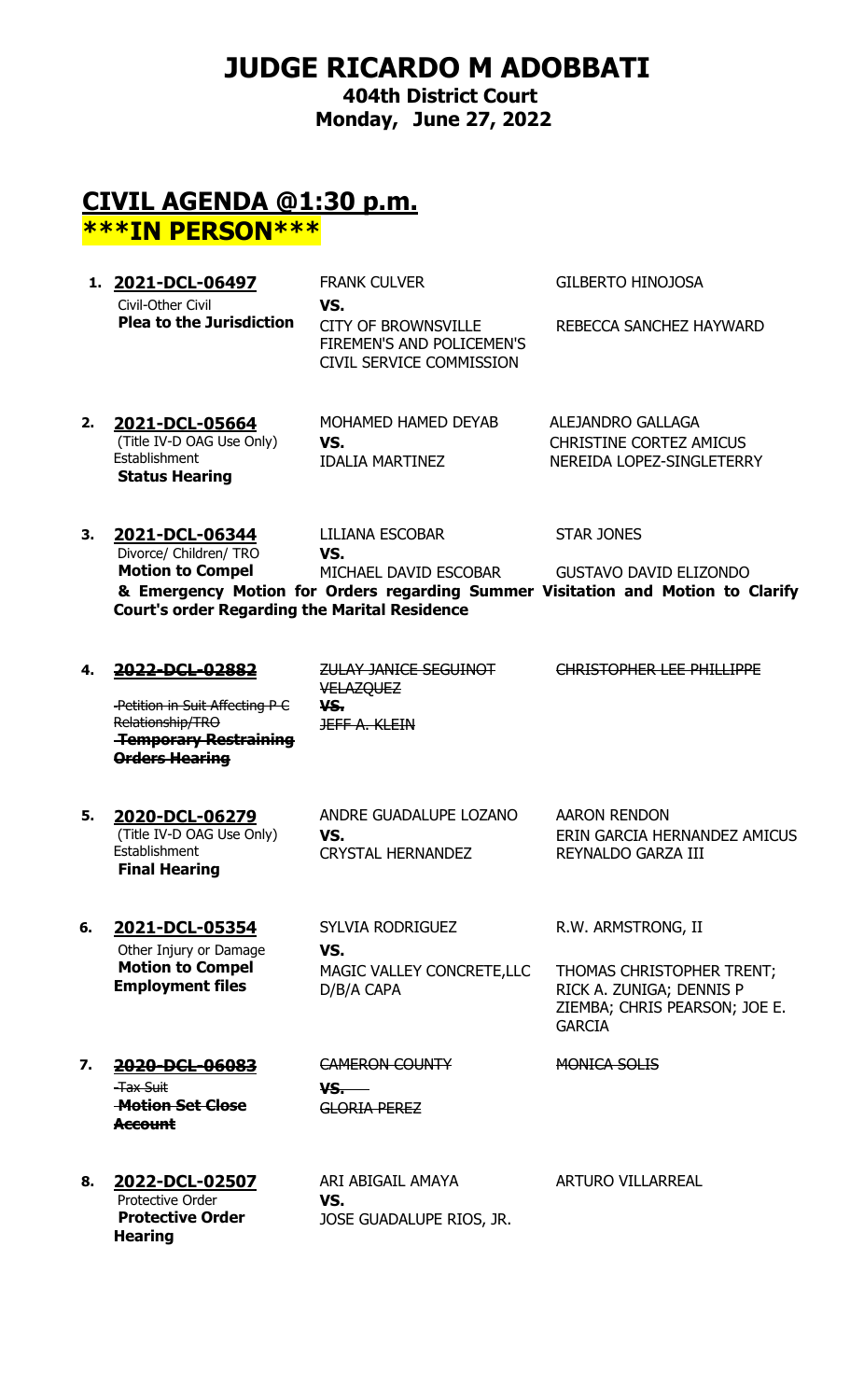# **JUDGE RICARDO M ADOBBATI**

**404th District Court Monday, June 27, 2022**

## **CIVIL AGENDA @1:30 p.m. \*\*\*IN PERSON\*\*\***

- **1. 2021-DCL-06497** FRANK CULVER GILBERTO HINOJOSA Civil-Other Civil **Plea to the Jurisdiction VS.** CITY OF BROWNSVILLE FIREMEN'S AND POLICEMEN'S CIVIL SERVICE COMMISSION REBECCA SANCHEZ HAYWARD
- **2. 2021-DCL-05664** MOHAMED HAMED DEYAB ALEJANDRO GALLAGA (Title IV-D OAG Use Only) **Establishment Status Hearing VS.** CHRISTINE CORTEZ AMICUS IDALIA MARTINEZ NEREIDA LOPEZ-SINGLETERRY
- **3. 2021-DCL-06344** LILIANA ESCOBAR STAR JONES Divorce/ Children/ TRO **Motion to Compel VS.** MICHAEL DAVID ESCOBAR GUSTAVO DAVID ELIZONDO **& Emergency Motion for Orders regarding Summer Visitation and Motion to Clarify Court's order Regarding the Marital Residence**
- **4. 2022-DCL-02882** ZULAY JANICE SEGUINOT VELAZQUEZ CHRISTOPHER LEE PHILLIPPE Petition in Suit Affecting P C Relationship/TRO **Temporary Restraining Orders Hearing VS.** JEFF A. KLEIN

(Title IV-D OAG Use Only) Establishment **Final Hearing**

**5. 2020-DCL-06279** ANDRE GUADALUPE LOZANO AARON RENDON CRYSTAL HERNANDEZ REYNALDO GARZA III

**VS.** ERIN GARCIA HERNANDEZ AMICUS

Other Injury or Damage **Motion to Compel Employment files**

**6. 2021-DCL-05354** SYLVIA RODRIGUEZ R.W. ARMSTRONG, II **VS.** MAGIC VALLEY CONCRETE,LLC D/B/A CAPA

THOMAS CHRISTOPHER TRENT; RICK A. ZUNIGA; DENNIS P ZIEMBA; CHRIS PEARSON; JOE E. GARCIA

- **7. 2020-DCL-06083** CAMERON COUNTY MONICA SOLIS Tax Suit **Motion Set Close Account**
	- **VS.** GLORIA PEREZ
- Protective Order **Protective Order Hearing**
- **8. 2022-DCL-02507** ARI ABIGAIL AMAYA ARTURO VILLARREAL **VS.** JOSE GUADALUPE RIOS, JR.
-